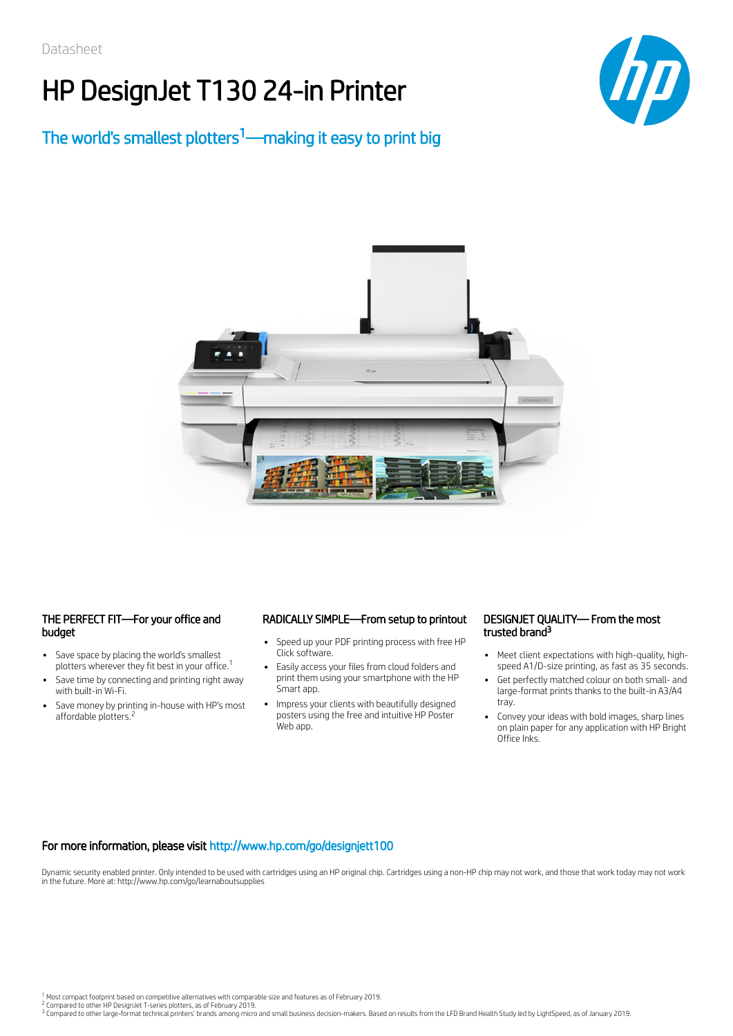# HP DesignJet T130 24-in Printer



## The world's smallest plotters<sup>1</sup>—making it easy to print big



#### THE PERFECT FIT—For your office and budget

- $\bullet$ Save space by placing the world's smallest plotters wherever they fit best in your office.<sup>1</sup>
- Save time by connecting and printing right away with built-in Wi-Fi.
- Save money by printing in-house with HP's most affordable plotters.<sup>2</sup>

#### RADICALLY SIMPLE—From setup to printout

- Speed up your PDF printing process with free HP Click software.
- Easily access your files from cloud folders and print them using your smartphone with the HP Smart app.
- Impress your clients with beautifully designed posters using the free and intuitive HP Poster Web app.

#### DESIGNJET QUALITY— From the most trusted brand<sup>3</sup>

- $\ddot{\phantom{0}}$ Meet client expectations with high-quality, highspeed A1/D-size printing, as fast as 35 seconds.
- $\ddot{\phantom{0}}$ Get perfectly matched colour on both small- and large-format prints thanks to the built-in A3/A4 tray.
- Convey your ideas with bold images, sharp lines on plain paper for any application with HP Bright Office Inks.

#### For more information, please visit http://www.hp.com/go/designjett100

Dynamic security enabled printer. Only intended to be used with cartridges using an HP original chip. Cartridges using a non-HP chip may not work, and those that work today may not work in the future. More at: http://www.hp.com/go/learnaboutsupplies

<sup>1</sup> Most compact footprint based on competitive alternatives with comparable size and features as of February 2019.<br><sup>2</sup> Compared to other HP DesignJet T-series plotters, as of February 2019.

 $^3$  Compared to other large-format technical printers' brands among micro and small business decision-makers. Based on results from the LFD Brand Health Study led by LightSpeed, as of January 2019.